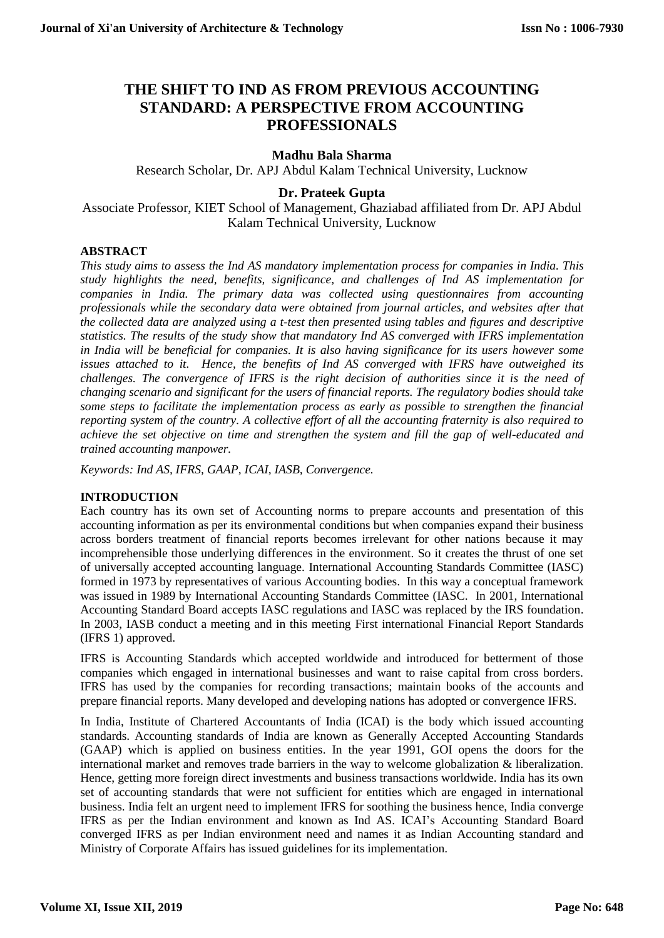# **THE SHIFT TO IND AS FROM PREVIOUS ACCOUNTING STANDARD: A PERSPECTIVE FROM ACCOUNTING PROFESSIONALS**

# **Madhu Bala Sharma**

Research Scholar, Dr. APJ Abdul Kalam Technical University, Lucknow

# **Dr. Prateek Gupta**

Associate Professor, KIET School of Management, Ghaziabad affiliated from Dr. APJ Abdul Kalam Technical University, Lucknow

# **ABSTRACT**

*This study aims to assess the Ind AS mandatory implementation process for companies in India. This study highlights the need, benefits, significance, and challenges of Ind AS implementation for companies in India. The primary data was collected using questionnaires from accounting professionals while the secondary data were obtained from journal articles, and websites after that the collected data are analyzed using a t-test then presented using tables and figures and descriptive statistics. The results of the study show that mandatory Ind AS converged with IFRS implementation in India will be beneficial for companies. It is also having significance for its users however some issues attached to it. Hence, the benefits of Ind AS converged with IFRS have outweighed its challenges. The convergence of IFRS is the right decision of authorities since it is the need of changing scenario and significant for the users of financial reports. The regulatory bodies should take some steps to facilitate the implementation process as early as possible to strengthen the financial reporting system of the country. A collective effort of all the accounting fraternity is also required to achieve the set objective on time and strengthen the system and fill the gap of well-educated and trained accounting manpower.*

*Keywords: Ind AS, IFRS, GAAP, ICAI, IASB, Convergence.*

# **INTRODUCTION**

Each country has its own set of Accounting norms to prepare accounts and presentation of this accounting information as per its environmental conditions but when companies expand their business across borders treatment of financial reports becomes irrelevant for other nations because it may incomprehensible those underlying differences in the environment. So it creates the thrust of one set of universally accepted accounting language. International Accounting Standards Committee (IASC) formed in 1973 by representatives of various Accounting bodies. In this way a conceptual framework was issued in 1989 by International Accounting Standards Committee (IASC. In 2001, International Accounting Standard Board accepts IASC regulations and IASC was replaced by the IRS foundation. In 2003, IASB conduct a meeting and in this meeting First international Financial Report Standards (IFRS 1) approved.

IFRS is Accounting Standards which accepted worldwide and introduced for betterment of those companies which engaged in international businesses and want to raise capital from cross borders. IFRS has used by the companies for recording transactions; maintain books of the accounts and prepare financial reports. Many developed and developing nations has adopted or convergence IFRS.

In India, Institute of Chartered Accountants of India (ICAI) is the body which issued accounting standards. Accounting standards of India are known as Generally Accepted Accounting Standards (GAAP) which is applied on business entities. In the year 1991, GOI opens the doors for the international market and removes trade barriers in the way to welcome globalization & liberalization. Hence, getting more foreign direct investments and business transactions worldwide. India has its own set of accounting standards that were not sufficient for entities which are engaged in international business. India felt an urgent need to implement IFRS for soothing the business hence, India converge IFRS as per the Indian environment and known as Ind AS. ICAI's Accounting Standard Board converged IFRS as per Indian environment need and names it as Indian Accounting standard and Ministry of Corporate Affairs has issued guidelines for its implementation.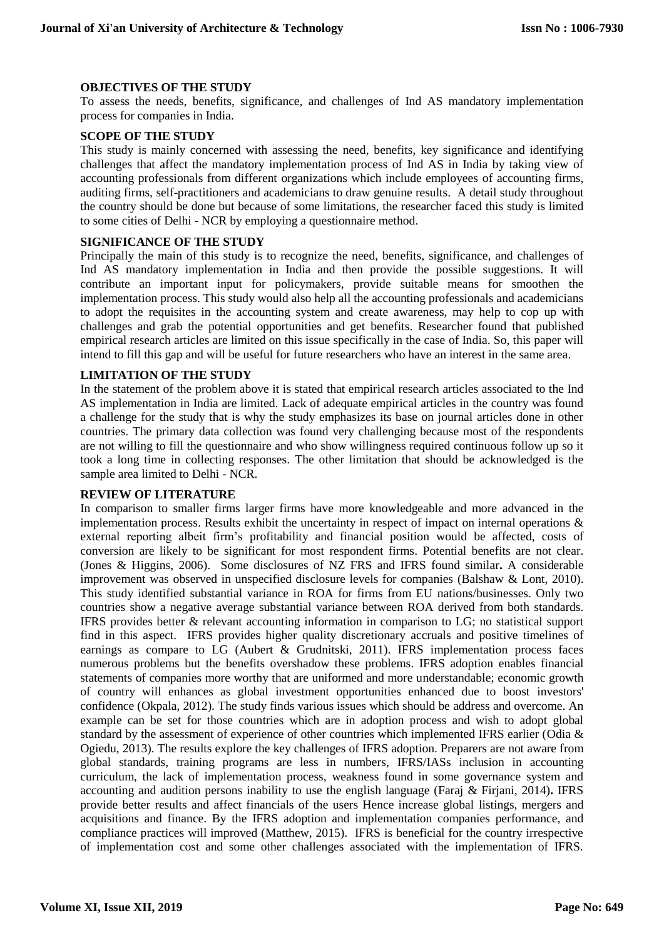#### **OBJECTIVES OF THE STUDY**

To assess the needs, benefits, significance, and challenges of Ind AS mandatory implementation process for companies in India.

#### **SCOPE OF THE STUDY**

This study is mainly concerned with assessing the need, benefits, key significance and identifying challenges that affect the mandatory implementation process of Ind AS in India by taking view of accounting professionals from different organizations which include employees of accounting firms, auditing firms, self-practitioners and academicians to draw genuine results. A detail study throughout the country should be done but because of some limitations, the researcher faced this study is limited to some cities of Delhi - NCR by employing a questionnaire method.

#### **SIGNIFICANCE OF THE STUDY**

Principally the main of this study is to recognize the need, benefits, significance, and challenges of Ind AS mandatory implementation in India and then provide the possible suggestions. It will contribute an important input for policymakers, provide suitable means for smoothen the implementation process. This study would also help all the accounting professionals and academicians to adopt the requisites in the accounting system and create awareness, may help to cop up with challenges and grab the potential opportunities and get benefits. Researcher found that published empirical research articles are limited on this issue specifically in the case of India. So, this paper will intend to fill this gap and will be useful for future researchers who have an interest in the same area.

#### **LIMITATION OF THE STUDY**

In the statement of the problem above it is stated that empirical research articles associated to the Ind AS implementation in India are limited. Lack of adequate empirical articles in the country was found a challenge for the study that is why the study emphasizes its base on journal articles done in other countries. The primary data collection was found very challenging because most of the respondents are not willing to fill the questionnaire and who show willingness required continuous follow up so it took a long time in collecting responses. The other limitation that should be acknowledged is the sample area limited to Delhi - NCR.

#### **REVIEW OF LITERATURE**

In comparison to smaller firms larger firms have more knowledgeable and more advanced in the implementation process. Results exhibit the uncertainty in respect of impact on internal operations  $\&$ external reporting albeit firm's profitability and financial position would be affected, costs of conversion are likely to be significant for most respondent firms. Potential benefits are not clear. (Jones & Higgins, 2006). Some disclosures of NZ FRS and IFRS found similar**.** A considerable improvement was observed in unspecified disclosure levels for companies (Balshaw & Lont, 2010). This study identified substantial variance in ROA for firms from EU nations/businesses. Only two countries show a negative average substantial variance between ROA derived from both standards. IFRS provides better & relevant accounting information in comparison to LG; no statistical support find in this aspect. IFRS provides higher quality discretionary accruals and positive timelines of earnings as compare to LG (Aubert & Grudnitski, 2011). IFRS implementation process faces numerous problems but the benefits overshadow these problems. IFRS adoption enables financial statements of companies more worthy that are uniformed and more understandable; economic growth of country will enhances as global investment opportunities enhanced due to boost investors' confidence (Okpala, 2012). The study finds various issues which should be address and overcome. An example can be set for those countries which are in adoption process and wish to adopt global standard by the assessment of experience of other countries which implemented IFRS earlier (Odia & Ogiedu, 2013). The results explore the key challenges of IFRS adoption. Preparers are not aware from global standards, training programs are less in numbers, IFRS/IASs inclusion in accounting curriculum, the lack of implementation process, weakness found in some governance system and accounting and audition persons inability to use the english language (Faraj & Firjani, 2014)**.** IFRS provide better results and affect financials of the users Hence increase global listings, mergers and acquisitions and finance. By the IFRS adoption and implementation companies performance, and compliance practices will improved (Matthew, 2015). IFRS is beneficial for the country irrespective of implementation cost and some other challenges associated with the implementation of IFRS.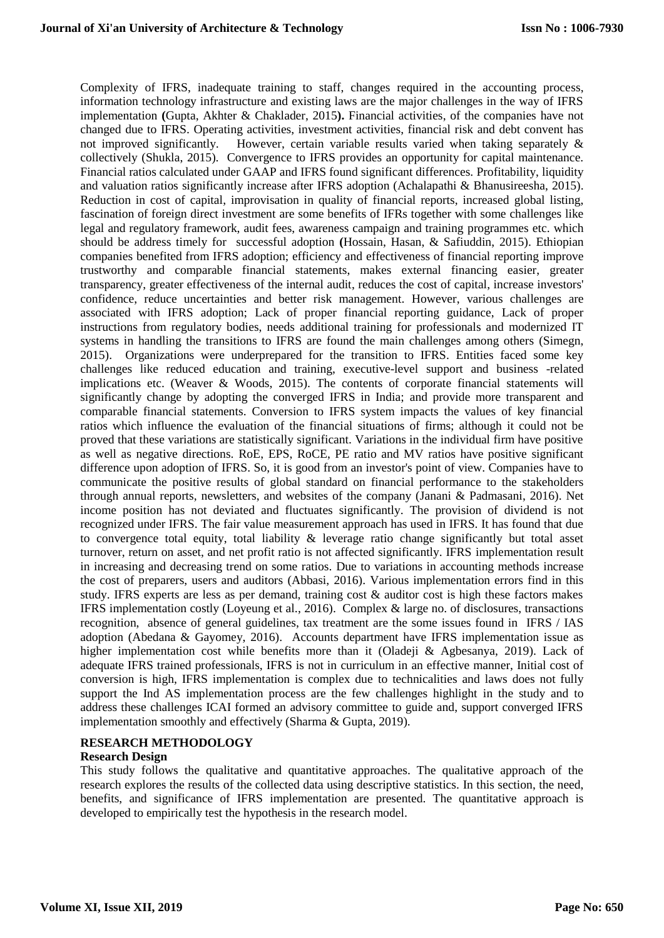Complexity of IFRS, inadequate training to staff, changes required in the accounting process, information technology infrastructure and existing laws are the major challenges in the way of IFRS implementation **(**Gupta, Akhter & Chaklader, 2015**).** Financial activities, of the companies have not changed due to IFRS. Operating activities, investment activities, financial risk and debt convent has not improved significantly. However, certain variable results varied when taking separately & collectively (Shukla, 2015). Convergence to IFRS provides an opportunity for capital maintenance. Financial ratios calculated under GAAP and IFRS found significant differences. Profitability, liquidity and valuation ratios significantly increase after IFRS adoption (Achalapathi & Bhanusireesha, 2015). Reduction in cost of capital, improvisation in quality of financial reports, increased global listing, fascination of foreign direct investment are some benefits of IFRs together with some challenges like legal and regulatory framework, audit fees, awareness campaign and training programmes etc. which should be address timely for successful adoption **(**Hossain, Hasan, & Safiuddin, 2015). Ethiopian companies benefited from IFRS adoption; efficiency and effectiveness of financial reporting improve trustworthy and comparable financial statements, makes external financing easier, greater transparency, greater effectiveness of the internal audit, reduces the cost of capital, increase investors' confidence, reduce uncertainties and better risk management. However, various challenges are associated with IFRS adoption; Lack of proper financial reporting guidance, Lack of proper instructions from regulatory bodies, needs additional training for professionals and modernized IT systems in handling the transitions to IFRS are found the main challenges among others (Simegn, 2015). Organizations were underprepared for the transition to IFRS. Entities faced some key challenges like reduced education and training, executive-level support and business -related implications etc. (Weaver & Woods, 2015). The contents of corporate financial statements will significantly change by adopting the converged IFRS in India; and provide more transparent and comparable financial statements. Conversion to IFRS system impacts the values of key financial ratios which influence the evaluation of the financial situations of firms; although it could not be proved that these variations are statistically significant. Variations in the individual firm have positive as well as negative directions. RoE, EPS, RoCE, PE ratio and MV ratios have positive significant difference upon adoption of IFRS. So, it is good from an investor's point of view. Companies have to communicate the positive results of global standard on financial performance to the stakeholders through annual reports, newsletters, and websites of the company (Janani & Padmasani, 2016). Net income position has not deviated and fluctuates significantly. The provision of dividend is not recognized under IFRS. The fair value measurement approach has used in IFRS. It has found that due to convergence total equity, total liability & leverage ratio change significantly but total asset turnover, return on asset, and net profit ratio is not affected significantly. IFRS implementation result in increasing and decreasing trend on some ratios. Due to variations in accounting methods increase the cost of preparers, users and auditors (Abbasi, 2016). Various implementation errors find in this study. IFRS experts are less as per demand, training cost & auditor cost is high these factors makes IFRS implementation costly (Loyeung et al., 2016). Complex & large no. of disclosures, transactions recognition, absence of general guidelines, tax treatment are the some issues found in IFRS / IAS adoption (Abedana & Gayomey, 2016). Accounts department have IFRS implementation issue as higher implementation cost while benefits more than it (Oladeji & Agbesanya, 2019). Lack of adequate IFRS trained professionals, IFRS is not in curriculum in an effective manner, Initial cost of conversion is high, IFRS implementation is complex due to technicalities and laws does not fully support the Ind AS implementation process are the few challenges highlight in the study and to address these challenges ICAI formed an advisory committee to guide and, support converged IFRS implementation smoothly and effectively (Sharma & Gupta, 2019).

# **RESEARCH METHODOLOGY**

# **Research Design**

This study follows the qualitative and quantitative approaches. The qualitative approach of the research explores the results of the collected data using descriptive statistics. In this section, the need, benefits, and significance of IFRS implementation are presented. The quantitative approach is developed to empirically test the hypothesis in the research model.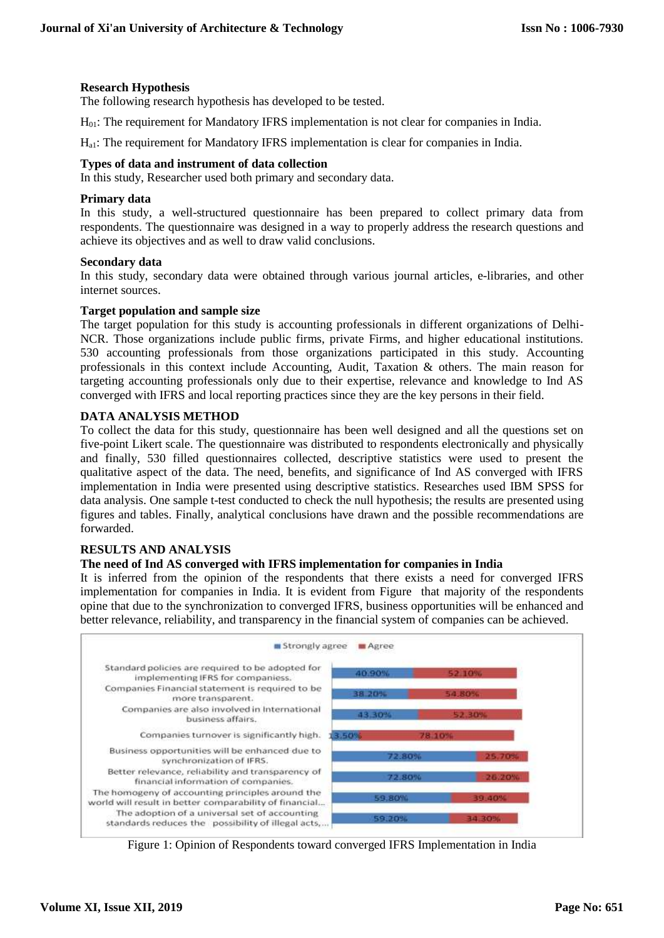# **Research Hypothesis**

The following research hypothesis has developed to be tested.

H01: The requirement for Mandatory IFRS implementation is not clear for companies in India.

Ha1: The requirement for Mandatory IFRS implementation is clear for companies in India.

#### **Types of data and instrument of data collection**

In this study, Researcher used both primary and secondary data.

#### **Primary data**

In this study, a well-structured questionnaire has been prepared to collect primary data from respondents. The questionnaire was designed in a way to properly address the research questions and achieve its objectives and as well to draw valid conclusions.

#### **Secondary data**

In this study, secondary data were obtained through various journal articles, e-libraries, and other internet sources.

#### **Target population and sample size**

The target population for this study is accounting professionals in different organizations of Delhi-NCR. Those organizations include public firms, private Firms, and higher educational institutions. 530 accounting professionals from those organizations participated in this study. Accounting professionals in this context include Accounting, Audit, Taxation & others. The main reason for targeting accounting professionals only due to their expertise, relevance and knowledge to Ind AS converged with IFRS and local reporting practices since they are the key persons in their field.

# **DATA ANALYSIS METHOD**

To collect the data for this study, questionnaire has been well designed and all the questions set on five-point Likert scale. The questionnaire was distributed to respondents electronically and physically and finally, 530 filled questionnaires collected, descriptive statistics were used to present the qualitative aspect of the data. The need, benefits, and significance of Ind AS converged with IFRS implementation in India were presented using descriptive statistics. Researches used IBM SPSS for data analysis. One sample t-test conducted to check the null hypothesis; the results are presented using figures and tables. Finally, analytical conclusions have drawn and the possible recommendations are forwarded.

# **RESULTS AND ANALYSIS**

# **The need of Ind AS converged with IFRS implementation for companies in India**

It is inferred from the opinion of the respondents that there exists a need for converged IFRS implementation for companies in India. It is evident from [Figure](#page-3-0) that majority of the respondents opine that due to the synchronization to converged IFRS, business opportunities will be enhanced and better relevance, reliability, and transparency in the financial system of companies can be achieved.



<span id="page-3-0"></span>Figure 1: Opinion of Respondents toward converged IFRS Implementation in India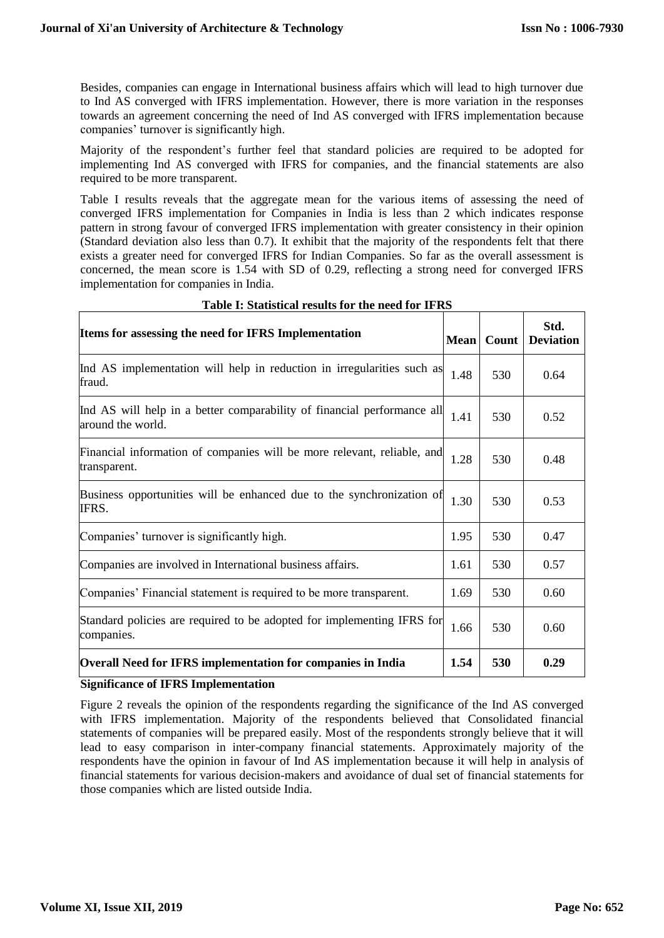Besides, companies can engage in International business affairs which will lead to high turnover due to Ind AS converged with IFRS implementation. However, there is more variation in the responses towards an agreement concerning the need of Ind AS converged with IFRS implementation because companies' turnover is significantly high.

Majority of the respondent's further feel that standard policies are required to be adopted for implementing Ind AS converged with IFRS for companies, and the financial statements are also required to be more transparent.

Table I results reveals that the aggregate mean for the various items of assessing the need of converged IFRS implementation for Companies in India is less than 2 which indicates response pattern in strong favour of converged IFRS implementation with greater consistency in their opinion (Standard deviation also less than 0.7). It exhibit that the majority of the respondents felt that there exists a greater need for converged IFRS for Indian Companies. So far as the overall assessment is concerned, the mean score is 1.54 with SD of 0.29, reflecting a strong need for converged IFRS implementation for companies in India.

| Items for assessing the need for IFRS Implementation                                         | <b>Mean</b> | Count | Std.<br><b>Deviation</b> |
|----------------------------------------------------------------------------------------------|-------------|-------|--------------------------|
| Ind AS implementation will help in reduction in irregularities such as<br>fraud.             | 1.48        | 530   | 0.64                     |
| Ind AS will help in a better comparability of financial performance all<br>around the world. | 1.41        | 530   | 0.52                     |
| Financial information of companies will be more relevant, reliable, and<br>transparent.      | 1.28        | 530   | 0.48                     |
| Business opportunities will be enhanced due to the synchronization of<br>IFRS.               | 1.30        | 530   | 0.53                     |
| Companies' turnover is significantly high.                                                   | 1.95        | 530   | 0.47                     |
| Companies are involved in International business affairs.                                    | 1.61        | 530   | 0.57                     |
| Companies' Financial statement is required to be more transparent.                           | 1.69        | 530   | 0.60                     |
| Standard policies are required to be adopted for implementing IFRS for<br>companies.         |             | 530   | 0.60                     |
| <b>Overall Need for IFRS implementation for companies in India</b>                           | 1.54        | 530   | 0.29                     |

# **Table I: Statistical results for the need for IFRS**

# **Significance of IFRS Implementation**

Figure 2 reveals the opinion of the respondents regarding the significance of the Ind AS converged with IFRS implementation. Majority of the respondents believed that Consolidated financial statements of companies will be prepared easily. Most of the respondents strongly believe that it will lead to easy comparison in inter-company financial statements. Approximately majority of the respondents have the opinion in favour of Ind AS implementation because it will help in analysis of financial statements for various decision-makers and avoidance of dual set of financial statements for those companies which are listed outside India.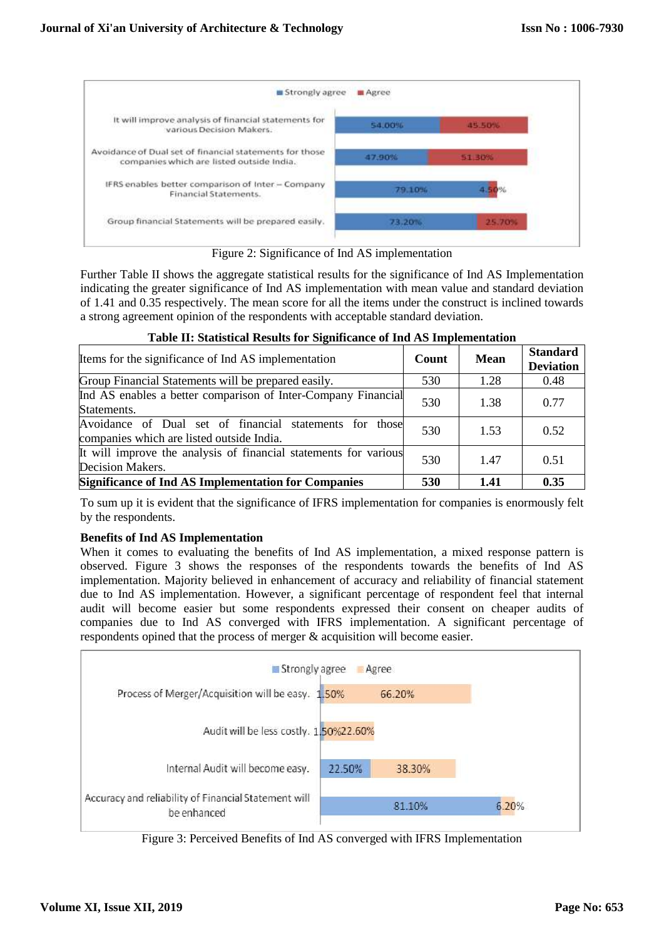

Figure 2: Significance of Ind AS implementation

Further Table II shows the aggregate statistical results for the significance of Ind AS Implementation indicating the greater significance of Ind AS implementation with mean value and standard deviation of 1.41 and 0.35 respectively. The mean score for all the items under the construct is inclined towards a strong agreement opinion of the respondents with acceptable standard deviation.

| Items for the significance of Ind AS implementation                                                  | Count | Mean | <b>Standard</b><br><b>Deviation</b> |
|------------------------------------------------------------------------------------------------------|-------|------|-------------------------------------|
| Group Financial Statements will be prepared easily.                                                  | 530   | 1.28 | 0.48                                |
| Ind AS enables a better comparison of Inter-Company Financial<br>Statements.                         | 530   | 1.38 | 0.77                                |
| Avoidance of Dual set of financial statements for those<br>companies which are listed outside India. | 530   | 1.53 | 0.52                                |
| It will improve the analysis of financial statements for various<br>Decision Makers.                 | 530   | 1.47 | 0.51                                |
| <b>Significance of Ind AS Implementation for Companies</b>                                           |       | 1.41 | 0.35                                |

# **Table II: Statistical Results for Significance of Ind AS Implementation**

To sum up it is evident that the significance of IFRS implementation for companies is enormously felt by the respondents.

# **Benefits of Ind AS Implementation**

When it comes to evaluating the benefits of Ind AS implementation, a mixed response pattern is observed. Figure 3 shows the responses of the respondents towards the benefits of Ind AS implementation. Majority believed in enhancement of accuracy and reliability of financial statement due to Ind AS implementation. However, a significant percentage of respondent feel that internal audit will become easier but some respondents expressed their consent on cheaper audits of companies due to Ind AS converged with IFRS implementation. A significant percentage of respondents opined that the process of merger & acquisition will become easier.



Figure 3: Perceived Benefits of Ind AS converged with IFRS Implementation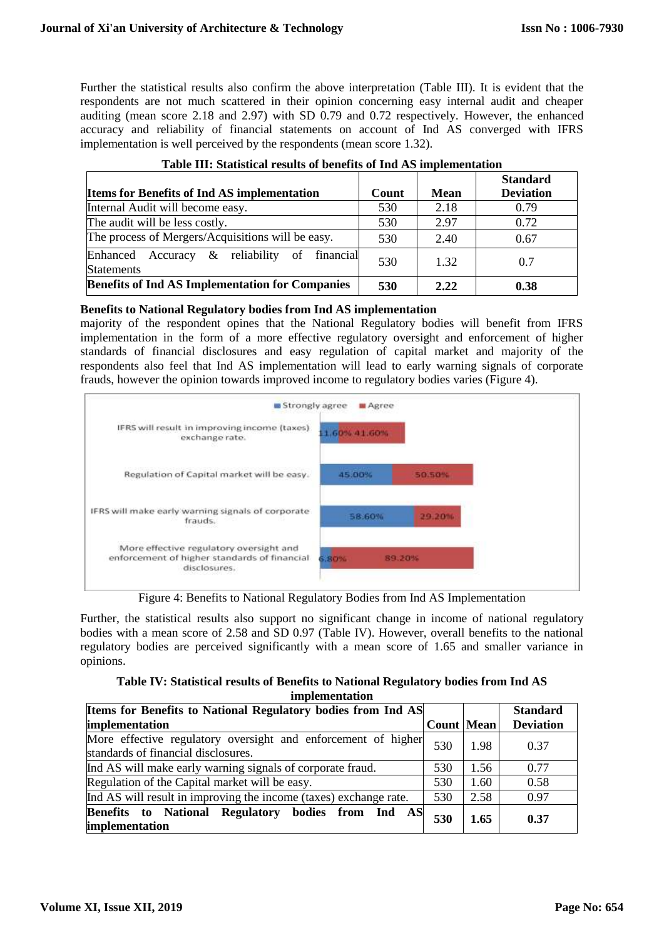Further the statistical results also confirm the above interpretation (Table III). It is evident that the respondents are not much scattered in their opinion concerning easy internal audit and cheaper auditing (mean score 2.18 and 2.97) with SD 0.79 and 0.72 respectively. However, the enhanced accuracy and reliability of financial statements on account of Ind AS converged with IFRS implementation is well perceived by the respondents (mean score 1.32).

|                                                                      |       |             | <b>Standard</b>  |
|----------------------------------------------------------------------|-------|-------------|------------------|
| <b>Items for Benefits of Ind AS implementation</b>                   | Count | <b>Mean</b> | <b>Deviation</b> |
| Internal Audit will become easy.                                     | 530   | 2.18        | 0.79             |
| The audit will be less costly.                                       | 530   | 2.97        | 0.72             |
| The process of Mergers/Acquisitions will be easy.                    | 530   | 2.40        | 0.67             |
| Accuracy & reliability of financial<br>Enhanced<br><b>Statements</b> | 530   | 1.32        | 0.7              |
| <b>Benefits of Ind AS Implementation for Companies</b>               | 530   | 2.22        | 0.38             |

# **Table III: Statistical results of benefits of Ind AS implementation**

# **Benefits to National Regulatory bodies from Ind AS implementation**

majority of the respondent opines that the National Regulatory bodies will benefit from IFRS implementation in the form of a more effective regulatory oversight and enforcement of higher standards of financial disclosures and easy regulation of capital market and majority of the respondents also feel that Ind AS implementation will lead to early warning signals of corporate frauds, however the opinion towards improved income to regulatory bodies varies (Figure 4).



Figure 4: Benefits to National Regulatory Bodies from Ind AS Implementation

Further, the statistical results also support no significant change in income of national regulatory bodies with a mean score of 2.58 and SD 0.97 (Table IV). However, overall benefits to the national regulatory bodies are perceived significantly with a mean score of 1.65 and smaller variance in opinions.

| Table IV: Statistical results of Benefits to National Regulatory bodies from Ind AS |  |  |
|-------------------------------------------------------------------------------------|--|--|
| implementation                                                                      |  |  |

| Items for Benefits to National Regulatory bodies from Ind AS                                         |                   | <b>Standard</b> |                  |
|------------------------------------------------------------------------------------------------------|-------------------|-----------------|------------------|
| implementation                                                                                       | <b>Count Mean</b> |                 | <b>Deviation</b> |
| More effective regulatory oversight and enforcement of higher<br>standards of financial disclosures. | 530               | 1.98            | 0.37             |
| Ind AS will make early warning signals of corporate fraud.                                           | 530               | 1.56            | 0.77             |
| Regulation of the Capital market will be easy.                                                       | 530               | 1.60            | 0.58             |
| Ind AS will result in improving the income (taxes) exchange rate.                                    | 530               | 2.58            | 0.97             |
| Benefits to National Regulatory bodies from Ind AS<br>implementation                                 | 530               | 1.65            | 0.37             |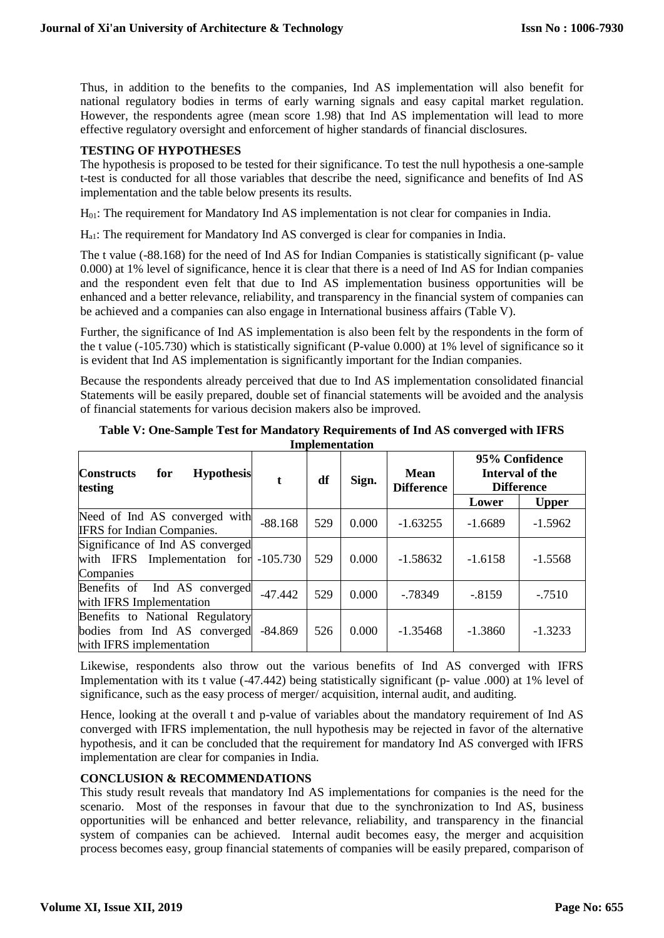Thus, in addition to the benefits to the companies, Ind AS implementation will also benefit for national regulatory bodies in terms of early warning signals and easy capital market regulation. However, the respondents agree (mean score 1.98) that Ind AS implementation will lead to more effective regulatory oversight and enforcement of higher standards of financial disclosures.

# **TESTING OF HYPOTHESES**

The hypothesis is proposed to be tested for their significance. To test the null hypothesis a one-sample t-test is conducted for all those variables that describe the need, significance and benefits of Ind AS implementation and the table below presents its results.

H<sub>01</sub>: The requirement for Mandatory Ind AS implementation is not clear for companies in India.

Ha1: The requirement for Mandatory Ind AS converged is clear for companies in India.

The t value (-88.168) for the need of Ind AS for Indian Companies is statistically significant (p- value 0.000) at 1% level of significance, hence it is clear that there is a need of Ind AS for Indian companies and the respondent even felt that due to Ind AS implementation business opportunities will be enhanced and a better relevance, reliability, and transparency in the financial system of companies can be achieved and a companies can also engage in International business affairs (Table V).

Further, the significance of Ind AS implementation is also been felt by the respondents in the form of the t value (-105.730) which is statistically significant (P-value 0.000) at 1% level of significance so it is evident that Ind AS implementation is significantly important for the Indian companies.

Because the respondents already perceived that due to Ind AS implementation consolidated financial Statements will be easily prepared, double set of financial statements will be avoided and the analysis of financial statements for various decision makers also be improved.

| <b>Hypothesis</b><br><b>Constructs</b><br>for<br>testing                                    | t          | df  | Sign. | <b>Mean</b><br><b>Difference</b> |           | 95% Confidence<br>Interval of the<br><b>Difference</b> |
|---------------------------------------------------------------------------------------------|------------|-----|-------|----------------------------------|-----------|--------------------------------------------------------|
|                                                                                             |            |     |       |                                  | Lower     | <b>Upper</b>                                           |
| Need of Ind AS converged with<br><b>IFRS</b> for Indian Companies.                          | $-88.168$  | 529 | 0.000 | $-1.63255$                       | $-1.6689$ | $-1.5962$                                              |
| Significance of Ind AS converged<br>with IFRS Implementation for<br>Companies               | $-105.730$ | 529 | 0.000 | $-1.58632$                       | $-1.6158$ | $-1.5568$                                              |
| Benefits of<br>Ind AS converged<br>with IFRS Implementation                                 | $-47.442$  | 529 | 0.000 | $-0.78349$                       | $-.8159$  | $-7510$                                                |
| Benefits to National Regulatory<br>bodies from Ind AS converged<br>with IFRS implementation | $-84.869$  | 526 | 0.000 | $-1.35468$                       | $-1.3860$ | $-1.3233$                                              |

**Table V: One-Sample Test for Mandatory Requirements of Ind AS converged with IFRS Implementation**

Likewise, respondents also throw out the various benefits of Ind AS converged with IFRS Implementation with its t value (-47.442) being statistically significant (p- value .000) at 1% level of significance, such as the easy process of merger/ acquisition, internal audit, and auditing.

Hence, looking at the overall t and p-value of variables about the mandatory requirement of Ind AS converged with IFRS implementation, the null hypothesis may be rejected in favor of the alternative hypothesis, and it can be concluded that the requirement for mandatory Ind AS converged with IFRS implementation are clear for companies in India.

# **CONCLUSION & RECOMMENDATIONS**

This study result reveals that mandatory Ind AS implementations for companies is the need for the scenario. Most of the responses in favour that due to the synchronization to Ind AS, business opportunities will be enhanced and better relevance, reliability, and transparency in the financial system of companies can be achieved. Internal audit becomes easy, the merger and acquisition process becomes easy, group financial statements of companies will be easily prepared, comparison of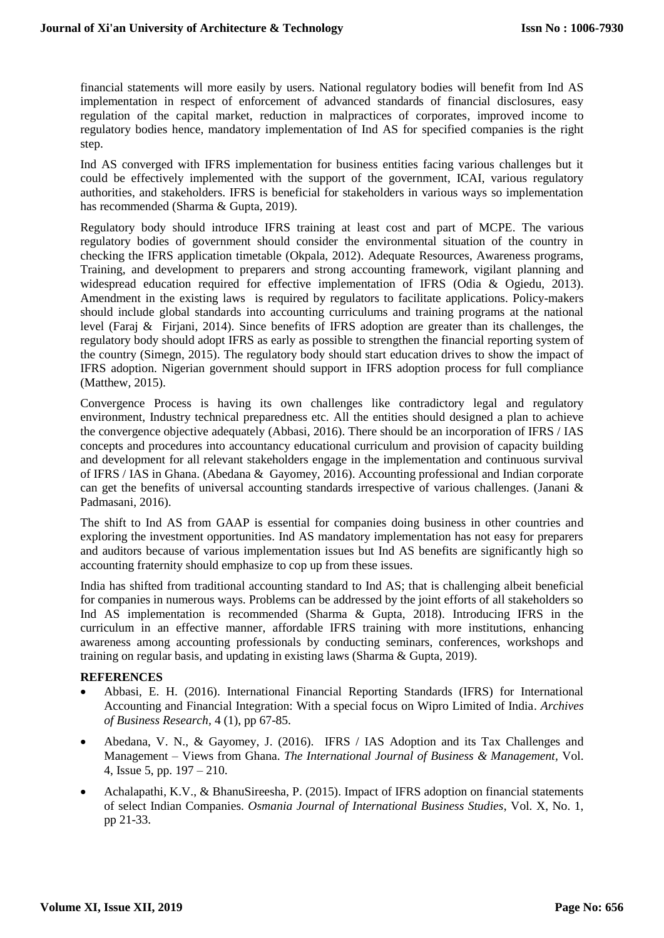financial statements will more easily by users. National regulatory bodies will benefit from Ind AS implementation in respect of enforcement of advanced standards of financial disclosures, easy regulation of the capital market, reduction in malpractices of corporates, improved income to regulatory bodies hence, mandatory implementation of Ind AS for specified companies is the right step.

Ind AS converged with IFRS implementation for business entities facing various challenges but it could be effectively implemented with the support of the government, ICAI, various regulatory authorities, and stakeholders. IFRS is beneficial for stakeholders in various ways so implementation has recommended (Sharma & Gupta, 2019).

Regulatory body should introduce IFRS training at least cost and part of MCPE. The various regulatory bodies of government should consider the environmental situation of the country in checking the IFRS application timetable (Okpala, 2012). Adequate Resources, Awareness programs, Training, and development to preparers and strong accounting framework, vigilant planning and widespread education required for effective implementation of IFRS (Odia & Ogiedu, 2013). Amendment in the existing laws is required by regulators to facilitate applications. Policy-makers should include global standards into accounting curriculums and training programs at the national level (Faraj & Firjani, 2014). Since benefits of IFRS adoption are greater than its challenges, the regulatory body should adopt IFRS as early as possible to strengthen the financial reporting system of the country (Simegn, 2015). The regulatory body should start education drives to show the impact of IFRS adoption. Nigerian government should support in IFRS adoption process for full compliance (Matthew, 2015).

Convergence Process is having its own challenges like contradictory legal and regulatory environment, Industry technical preparedness etc. All the entities should designed a plan to achieve the convergence objective adequately (Abbasi, 2016). There should be an incorporation of IFRS / IAS concepts and procedures into accountancy educational curriculum and provision of capacity building and development for all relevant stakeholders engage in the implementation and continuous survival of IFRS / IAS in Ghana. (Abedana & Gayomey, 2016). Accounting professional and Indian corporate can get the benefits of universal accounting standards irrespective of various challenges. (Janani & Padmasani, 2016).

The shift to Ind AS from GAAP is essential for companies doing business in other countries and exploring the investment opportunities. Ind AS mandatory implementation has not easy for preparers and auditors because of various implementation issues but Ind AS benefits are significantly high so accounting fraternity should emphasize to cop up from these issues.

India has shifted from traditional accounting standard to Ind AS; that is challenging albeit beneficial for companies in numerous ways. Problems can be addressed by the joint efforts of all stakeholders so Ind AS implementation is recommended (Sharma & Gupta, 2018). Introducing IFRS in the curriculum in an effective manner, affordable IFRS training with more institutions, enhancing awareness among accounting professionals by conducting seminars, conferences, workshops and training on regular basis, and updating in existing laws (Sharma & Gupta, 2019).

# **REFERENCES**

- Abbasi, E. H. (2016). International Financial Reporting Standards (IFRS) for International Accounting and Financial Integration: With a special focus on Wipro Limited of India. *Archives of Business Research,* 4 (1), pp 67-85.
- Abedana, V. N., & Gayomey, J. [\(2016\). IFRS / IAS Adoption and its Tax Challenges and](http://www.theijbm.com/)  Management – Views from Ghana. *[The International Journal of Business & Management,](http://www.theijbm.com/)* Vol. [4, Issue 5, pp. 197 –](http://www.theijbm.com/) 210.
- Achalapathi, K.V., & BhanuSireesha, P. (2015). Impact of IFRS adoption on financial statements of select Indian Companies. *Osmania Journal of International Business Studies*, Vol. X, No. 1, pp 21-33.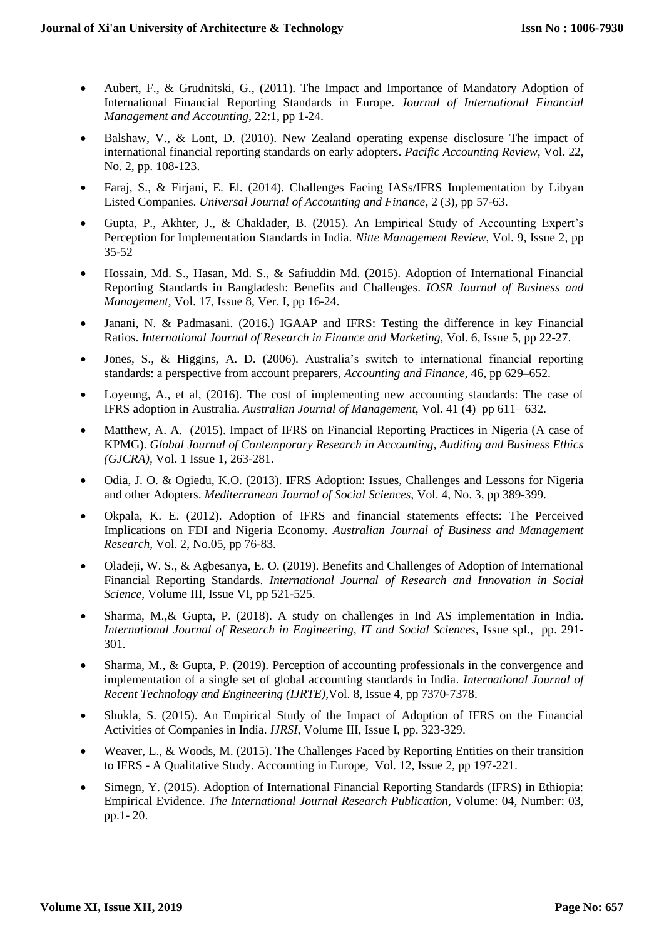- Aubert, F., & Grudnitski, G., (2011). The Impact and Importance of Mandatory Adoption of International Financial Reporting Standards in Europe. *Journal of International Financial Management and Accounting,* 22:1, pp 1-24.
- Balshaw, V., & Lont, D. (2010). New Zealand operating expense disclosure The impact of international financial reporting standards on early adopters. *Pacific Accounting Review,* Vol. 22, No. 2, pp. 108-123.
- Faraj, S., & Firjani, E. El. (2014). Challenges Facing IASs/IFRS Implementation by Libyan Listed Companies. *Universal Journal of Accounting and Finance*, 2 (3), pp 57-63.
- Gupta, P., Akhter, J., & Chaklader, B. (2015). An Empirical Study of Accounting Expert's Perception for Implementation Standards in India. *Nitte Management Review*, Vol. 9, Issue 2, pp  $35 - 52$
- Hossain, Md. S., Hasan, Md. S., & Safiuddin Md. (2015). Adoption of International Financial Reporting Standards in Bangladesh: Benefits and Challenges. *IOSR Journal of Business and Management,* Vol. 17, Issue 8, Ver. I, pp 16-24.
- Janani, N. & Padmasani. (2016.) IGAAP and IFRS: Testing the difference in key Financial Ratios. *International Journal of Research in Finance and Marketing,* Vol. 6, Issue 5, pp 22-27.
- Jones, S., & Higgins, A. D. (2006). Australia's switch to international financial reporting standards: a perspective from account preparers, *Accounting and Finance*, 46, pp 629–652.
- Loyeung, A., et al, (2016). The cost of implementing new accounting standards: The case of IFRS adoption in Australia. *Australian Journal of Management*, Vol. 41 (4) pp 611– 632.
- Matthew, A. A. (2015). Impact of IFRS on Financial Reporting Practices in Nigeria (A case of KPMG). *Global Journal of Contemporary Research in Accounting, Auditing and Business Ethics (GJCRA),* Vol. 1 Issue 1, 263-281.
- Odia, J. O. & Ogiedu, K.O. (2013). IFRS Adoption: Issues, Challenges and Lessons for Nigeria and other Adopters. *Mediterranean Journal of Social Sciences,* Vol. 4, No. 3, pp 389-399.
- Okpala, K. E. (2012). Adoption of IFRS and financial statements effects: The Perceived Implications on FDI and Nigeria Economy. *Australian Journal of Business and Management Research,* Vol. 2, No.05, pp 76-83.
- Oladeji, W. S., & Agbesanya, E. O. (2019). Benefits and Challenges of Adoption of International Financial Reporting Standards. *International Journal of Research and Innovation in Social Science*, Volume III, Issue VI, pp 521-525.
- Sharma, M.,& Gupta, P. (2018). A study on challenges in Ind AS implementation in India. *International Journal of Research in Engineering, IT and Social Sciences,* Issue spl., pp. 291- 301.
- Sharma, M., & Gupta, P. (2019). Perception of accounting professionals in the convergence and implementation of a single set of global accounting standards in India. *International Journal of Recent Technology and Engineering (IJRTE),*Vol. 8, Issue 4, pp 7370-7378.
- Shukla, S. (2015). An Empirical Study of the Impact of Adoption of IFRS on the Financial Activities of Companies in India. *IJRSI,* Volume III, Issue I, pp. 323-329.
- Weaver, L., & Woods, M. (2015). The Challenges Faced by Reporting Entities on their transition to IFRS - A Qualitative Study. Accounting in Europe, Vol. 12, Issue 2, pp 197-221.
- Simegn, Y. (2015). Adoption of International Financial Reporting Standards (IFRS) in Ethiopia: Empirical Evidence. *The International Journal Research Publication,* Volume: 04, Number: 03, pp.1- 20.